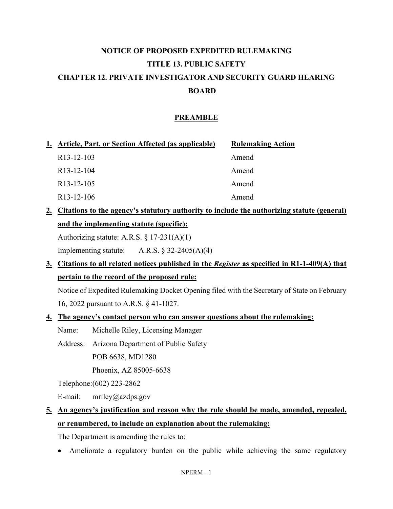# **NOTICE OF PROPOSED EXPEDITED RULEMAKING TITLE 13. PUBLIC SAFETY CHAPTER 12. PRIVATE INVESTIGATOR AND SECURITY GUARD HEARING BOARD**

### **PREAMBLE**

| 1. Article, Part, or Section Affected (as applicable) | <b>Rulemaking Action</b> |
|-------------------------------------------------------|--------------------------|
| R <sub>13</sub> -12-103                               | Amend                    |
| R <sub>13</sub> -12-104                               | Amend                    |
| R <sub>13</sub> -12-105                               | Amend                    |
| R <sub>13</sub> -12-106                               | Amend                    |

**2. Citations to the agency's statutory authority to include the authorizing statute (general) and the implementing statute (specific):**

Authorizing statute: A.R.S. § 17-231(A)(1)

Implementing statute:  $A.R.S. \S 32-2405(A)(4)$ 

**3. Citations to all related notices published in the** *Register* **as specified in R1-1-409(A) that pertain to the record of the proposed rule:**

Notice of Expedited Rulemaking Docket Opening filed with the Secretary of State on February 16, 2022 pursuant to A.R.S. § 41-1027.

#### **4. The agency's contact person who can answer questions about the rulemaking:**

- Name: Michelle Riley, Licensing Manager
- Address: Arizona Department of Public Safety

POB 6638, MD1280

Phoenix, AZ 85005-6638

Telephone:(602) 223-2862

E-mail: mriley@azdps.gov

**5. An agency's justification and reason why the rule should be made, amended, repealed, or renumbered, to include an explanation about the rulemaking:**

The Department is amending the rules to:

• Ameliorate a regulatory burden on the public while achieving the same regulatory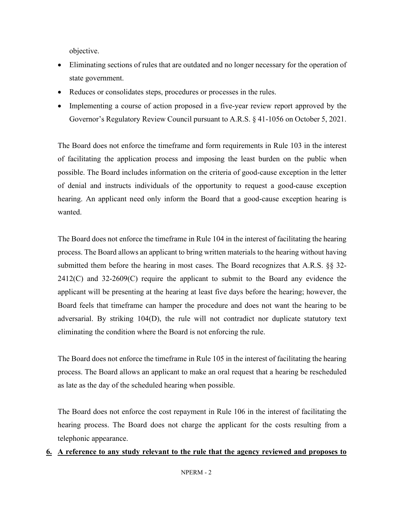objective.

- Eliminating sections of rules that are outdated and no longer necessary for the operation of state government.
- Reduces or consolidates steps, procedures or processes in the rules.
- Implementing a course of action proposed in a five-year review report approved by the Governor's Regulatory Review Council pursuant to A.R.S. § 41-1056 on October 5, 2021.

The Board does not enforce the timeframe and form requirements in Rule 103 in the interest of facilitating the application process and imposing the least burden on the public when possible. The Board includes information on the criteria of good-cause exception in the letter of denial and instructs individuals of the opportunity to request a good-cause exception hearing. An applicant need only inform the Board that a good-cause exception hearing is wanted.

The Board does not enforce the timeframe in Rule 104 in the interest of facilitating the hearing process. The Board allows an applicant to bring written materials to the hearing without having submitted them before the hearing in most cases. The Board recognizes that A.R.S. §§ 32- 2412(C) and 32-2609(C) require the applicant to submit to the Board any evidence the applicant will be presenting at the hearing at least five days before the hearing; however, the Board feels that timeframe can hamper the procedure and does not want the hearing to be adversarial. By striking 104(D), the rule will not contradict nor duplicate statutory text eliminating the condition where the Board is not enforcing the rule.

The Board does not enforce the timeframe in Rule 105 in the interest of facilitating the hearing process. The Board allows an applicant to make an oral request that a hearing be rescheduled as late as the day of the scheduled hearing when possible.

The Board does not enforce the cost repayment in Rule 106 in the interest of facilitating the hearing process. The Board does not charge the applicant for the costs resulting from a telephonic appearance.

#### **6. A reference to any study relevant to the rule that the agency reviewed and proposes to**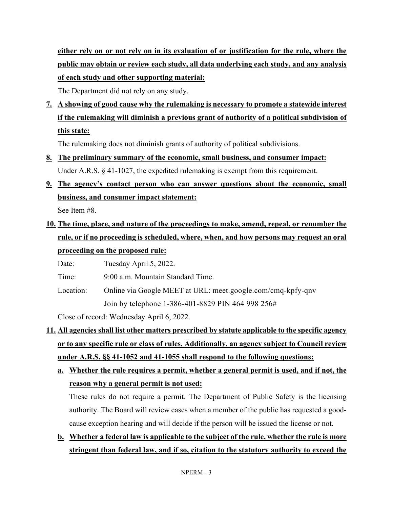**either rely on or not rely on in its evaluation of or justification for the rule, where the public may obtain or review each study, all data underlying each study, and any analysis of each study and other supporting material:**

The Department did not rely on any study.

**7. A showing of good cause why the rulemaking is necessary to promote a statewide interest if the rulemaking will diminish a previous grant of authority of a political subdivision of this state:**

The rulemaking does not diminish grants of authority of political subdivisions.

**8. The preliminary summary of the economic, small business, and consumer impact:** Under A.R.S. § 41-1027, the expedited rulemaking is exempt from this requirement.

## **9. The agency's contact person who can answer questions about the economic, small business, and consumer impact statement:**

See Item #8.

**10. The time, place, and nature of the proceedings to make, amend, repeal, or renumber the rule, or if no proceeding is scheduled, where, when, and how persons may request an oral proceeding on the proposed rule:**

Date: Tuesday April 5, 2022.

Time: 9:00 a.m. Mountain Standard Time.

Location: Online via Google MEET at URL: meet.google.com/cmq-kpfy-qnv Join by telephone 1-386-401-8829 PIN 464 998 256#

Close of record: Wednesday April 6, 2022.

- **11. All agencies shall list other matters prescribed by statute applicable to the specific agency or to any specific rule or class of rules. Additionally, an agency subject to Council review under A.R.S. §§ 41-1052 and 41-1055 shall respond to the following questions:**
	- **a. Whether the rule requires a permit, whether a general permit is used, and if not, the reason why a general permit is not used:**

These rules do not require a permit. The Department of Public Safety is the licensing authority. The Board will review cases when a member of the public has requested a goodcause exception hearing and will decide if the person will be issued the license or not.

## **b. Whether a federal law is applicable to the subject of the rule, whether the rule is more stringent than federal law, and if so, citation to the statutory authority to exceed the**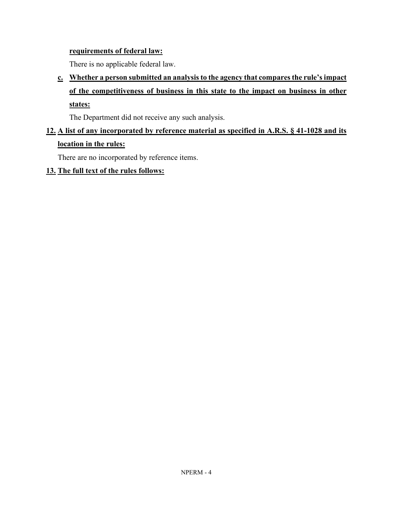### **requirements of federal law:**

There is no applicable federal law.

## **c. Whether a person submitted an analysisto the agency that comparesthe rule'simpact of the competitiveness of business in this state to the impact on business in other states:**

The Department did not receive any such analysis.

### **12. A list of any incorporated by reference material as specified in A.R.S. § 41-1028 and its location in the rules:**

There are no incorporated by reference items.

#### **13. The full text of the rules follows:**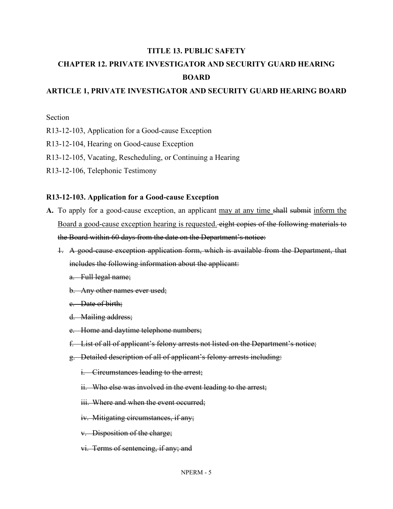#### **TITLE 13. PUBLIC SAFETY**

# **CHAPTER 12. PRIVATE INVESTIGATOR AND SECURITY GUARD HEARING BOARD**

### **ARTICLE 1, PRIVATE INVESTIGATOR AND SECURITY GUARD HEARING BOARD**

#### Section

- R13-12-103, Application for a Good-cause Exception
- R13-12-104, Hearing on Good-cause Exception
- R13-12-105, Vacating, Rescheduling, or Continuing a Hearing
- R13-12-106, Telephonic Testimony

#### **R13-12-103. Application for a Good-cause Exception**

- **A.** To apply for a good-cause exception, an applicant may at any time shall submit inform the Board a good-cause exception hearing is requested. eight copies of the following materials to the Board within 60 days from the date on the Department's notice:
	- 1. A good-cause exception application form, which is available from the Department, that includes the following information about the applicant:
		- a. Full legal name;
		- b. Any other names ever used;
		- c. Date of birth;
		- d. Mailing address;
		- e. Home and daytime telephone numbers;
		- f. List of all of applicant's felony arrests not listed on the Department's notice;
		- g. Detailed description of all of applicant's felony arrests including:
			- i. Circumstances leading to the arrest;
			- ii. Who else was involved in the event leading to the arrest;
			- iii. Where and when the event occurred;
			- iv. Mitigating circumstances, if any;
			- v. Disposition of the charge;
			- vi. Terms of sentencing, if any; and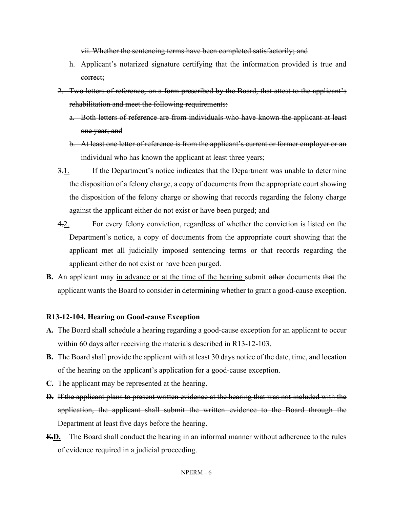vii. Whether the sentencing terms have been completed satisfactorily; and

- h. Applicant's notarized signature certifying that the information provided is true and correct;
- 2. Two letters of reference, on a form prescribed by the Board, that attest to the applicant's rehabilitation and meet the following requirements:
	- a. Both letters of reference are from individuals who have known the applicant at least one year; and
	- b. At least one letter of reference is from the applicant's current or former employer or an individual who has known the applicant at least three years;
- 3.1. If the Department's notice indicates that the Department was unable to determine the disposition of a felony charge, a copy of documents from the appropriate court showing the disposition of the felony charge or showing that records regarding the felony charge against the applicant either do not exist or have been purged; and
- 4.2. For every felony conviction, regardless of whether the conviction is listed on the Department's notice, a copy of documents from the appropriate court showing that the applicant met all judicially imposed sentencing terms or that records regarding the applicant either do not exist or have been purged.
- **B.** An applicant may in advance or at the time of the hearing submit other documents that the applicant wants the Board to consider in determining whether to grant a good-cause exception.

#### **R13-12-104. Hearing on Good-cause Exception**

- **A.** The Board shall schedule a hearing regarding a good-cause exception for an applicant to occur within 60 days after receiving the materials described in R13-12-103.
- **B.** The Board shall provide the applicant with at least 30 days notice of the date, time, and location of the hearing on the applicant's application for a good-cause exception.
- **C.** The applicant may be represented at the hearing.
- **D.** If the applicant plans to present written evidence at the hearing that was not included with the application, the applicant shall submit the written evidence to the Board through the Department at least five days before the hearing.
- **E.D.** The Board shall conduct the hearing in an informal manner without adherence to the rules of evidence required in a judicial proceeding.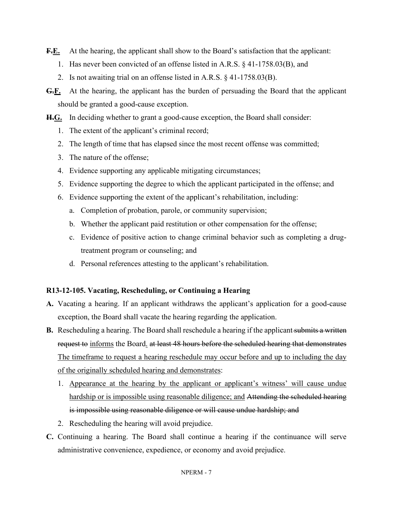- F.E. At the hearing, the applicant shall show to the Board's satisfaction that the applicant:
	- 1. Has never been convicted of an offense listed in A.R.S. § 41-1758.03(B), and
	- 2. Is not awaiting trial on an offense listed in A.R.S. § 41-1758.03(B).
- **G.F.** At the hearing, the applicant has the burden of persuading the Board that the applicant should be granted a good-cause exception.

**H.G.** In deciding whether to grant a good-cause exception, the Board shall consider:

- 1. The extent of the applicant's criminal record;
- 2. The length of time that has elapsed since the most recent offense was committed;
- 3. The nature of the offense;
- 4. Evidence supporting any applicable mitigating circumstances;
- 5. Evidence supporting the degree to which the applicant participated in the offense; and
- 6. Evidence supporting the extent of the applicant's rehabilitation, including:
	- a. Completion of probation, parole, or community supervision;
	- b. Whether the applicant paid restitution or other compensation for the offense;
	- c. Evidence of positive action to change criminal behavior such as completing a drugtreatment program or counseling; and
	- d. Personal references attesting to the applicant's rehabilitation.

#### **R13-12-105. Vacating, Rescheduling, or Continuing a Hearing**

- **A.** Vacating a hearing. If an applicant withdraws the applicant's application for a good-cause exception, the Board shall vacate the hearing regarding the application.
- **B.** Rescheduling a hearing. The Board shall reschedule a hearing if the applicant submits a written request to informs the Board. at least 48 hours before the scheduled hearing that demonstrates The timeframe to request a hearing reschedule may occur before and up to including the day of the originally scheduled hearing and demonstrates:
	- 1. Appearance at the hearing by the applicant or applicant's witness' will cause undue hardship or is impossible using reasonable diligence; and Attending the scheduled hearing is impossible using reasonable diligence or will cause undue hardship; and
	- 2. Rescheduling the hearing will avoid prejudice.
- **C.** Continuing a hearing. The Board shall continue a hearing if the continuance will serve administrative convenience, expedience, or economy and avoid prejudice.